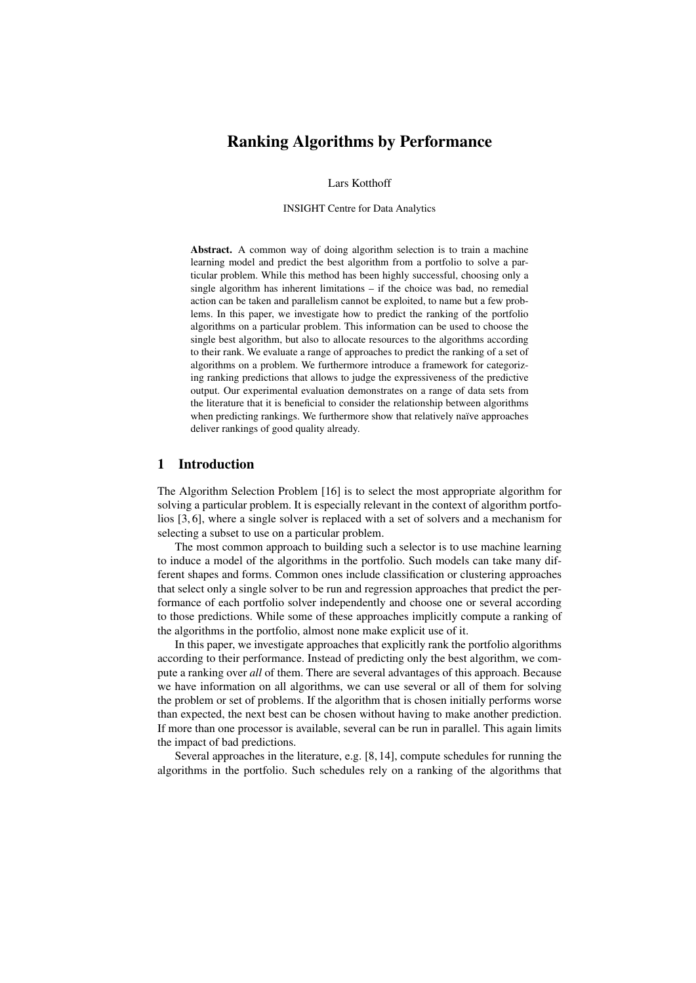# Ranking Algorithms by Performance

Lars Kotthoff

INSIGHT Centre for Data Analytics

Abstract. A common way of doing algorithm selection is to train a machine learning model and predict the best algorithm from a portfolio to solve a particular problem. While this method has been highly successful, choosing only a single algorithm has inherent limitations – if the choice was bad, no remedial action can be taken and parallelism cannot be exploited, to name but a few problems. In this paper, we investigate how to predict the ranking of the portfolio algorithms on a particular problem. This information can be used to choose the single best algorithm, but also to allocate resources to the algorithms according to their rank. We evaluate a range of approaches to predict the ranking of a set of algorithms on a problem. We furthermore introduce a framework for categorizing ranking predictions that allows to judge the expressiveness of the predictive output. Our experimental evaluation demonstrates on a range of data sets from the literature that it is beneficial to consider the relationship between algorithms when predicting rankings. We furthermore show that relatively naïve approaches deliver rankings of good quality already.

## 1 Introduction

The Algorithm Selection Problem [16] is to select the most appropriate algorithm for solving a particular problem. It is especially relevant in the context of algorithm portfolios [3, 6], where a single solver is replaced with a set of solvers and a mechanism for selecting a subset to use on a particular problem.

The most common approach to building such a selector is to use machine learning to induce a model of the algorithms in the portfolio. Such models can take many different shapes and forms. Common ones include classification or clustering approaches that select only a single solver to be run and regression approaches that predict the performance of each portfolio solver independently and choose one or several according to those predictions. While some of these approaches implicitly compute a ranking of the algorithms in the portfolio, almost none make explicit use of it.

In this paper, we investigate approaches that explicitly rank the portfolio algorithms according to their performance. Instead of predicting only the best algorithm, we compute a ranking over *all* of them. There are several advantages of this approach. Because we have information on all algorithms, we can use several or all of them for solving the problem or set of problems. If the algorithm that is chosen initially performs worse than expected, the next best can be chosen without having to make another prediction. If more than one processor is available, several can be run in parallel. This again limits the impact of bad predictions.

Several approaches in the literature, e.g. [8, 14], compute schedules for running the algorithms in the portfolio. Such schedules rely on a ranking of the algorithms that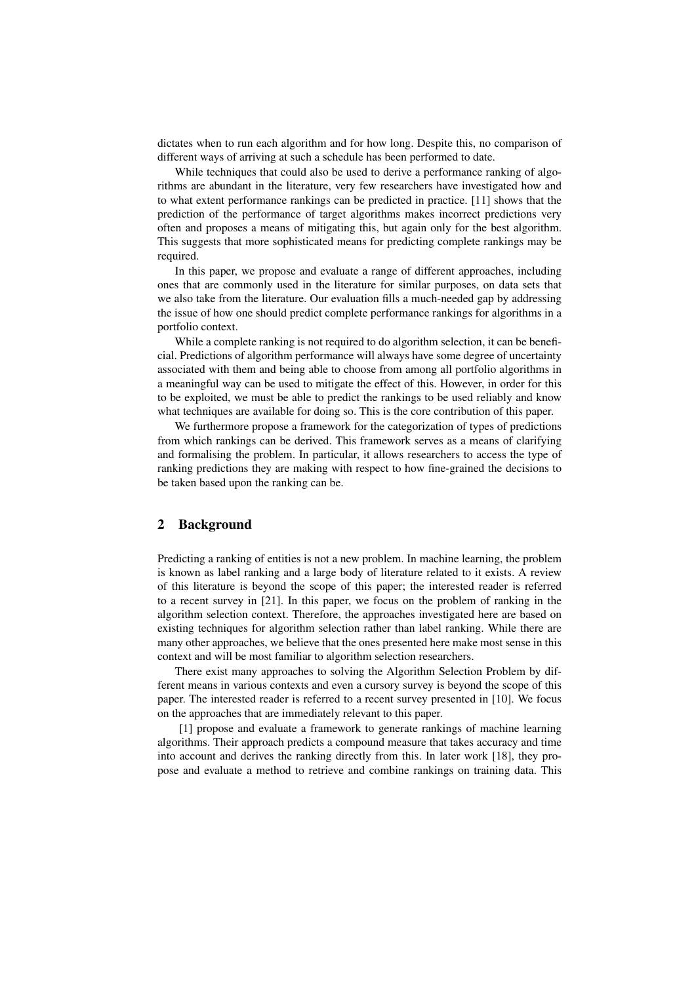dictates when to run each algorithm and for how long. Despite this, no comparison of different ways of arriving at such a schedule has been performed to date.

While techniques that could also be used to derive a performance ranking of algorithms are abundant in the literature, very few researchers have investigated how and to what extent performance rankings can be predicted in practice. [11] shows that the prediction of the performance of target algorithms makes incorrect predictions very often and proposes a means of mitigating this, but again only for the best algorithm. This suggests that more sophisticated means for predicting complete rankings may be required.

In this paper, we propose and evaluate a range of different approaches, including ones that are commonly used in the literature for similar purposes, on data sets that we also take from the literature. Our evaluation fills a much-needed gap by addressing the issue of how one should predict complete performance rankings for algorithms in a portfolio context.

While a complete ranking is not required to do algorithm selection, it can be beneficial. Predictions of algorithm performance will always have some degree of uncertainty associated with them and being able to choose from among all portfolio algorithms in a meaningful way can be used to mitigate the effect of this. However, in order for this to be exploited, we must be able to predict the rankings to be used reliably and know what techniques are available for doing so. This is the core contribution of this paper.

We furthermore propose a framework for the categorization of types of predictions from which rankings can be derived. This framework serves as a means of clarifying and formalising the problem. In particular, it allows researchers to access the type of ranking predictions they are making with respect to how fine-grained the decisions to be taken based upon the ranking can be.

### 2 Background

Predicting a ranking of entities is not a new problem. In machine learning, the problem is known as label ranking and a large body of literature related to it exists. A review of this literature is beyond the scope of this paper; the interested reader is referred to a recent survey in [21]. In this paper, we focus on the problem of ranking in the algorithm selection context. Therefore, the approaches investigated here are based on existing techniques for algorithm selection rather than label ranking. While there are many other approaches, we believe that the ones presented here make most sense in this context and will be most familiar to algorithm selection researchers.

There exist many approaches to solving the Algorithm Selection Problem by different means in various contexts and even a cursory survey is beyond the scope of this paper. The interested reader is referred to a recent survey presented in [10]. We focus on the approaches that are immediately relevant to this paper.

[1] propose and evaluate a framework to generate rankings of machine learning algorithms. Their approach predicts a compound measure that takes accuracy and time into account and derives the ranking directly from this. In later work [18], they propose and evaluate a method to retrieve and combine rankings on training data. This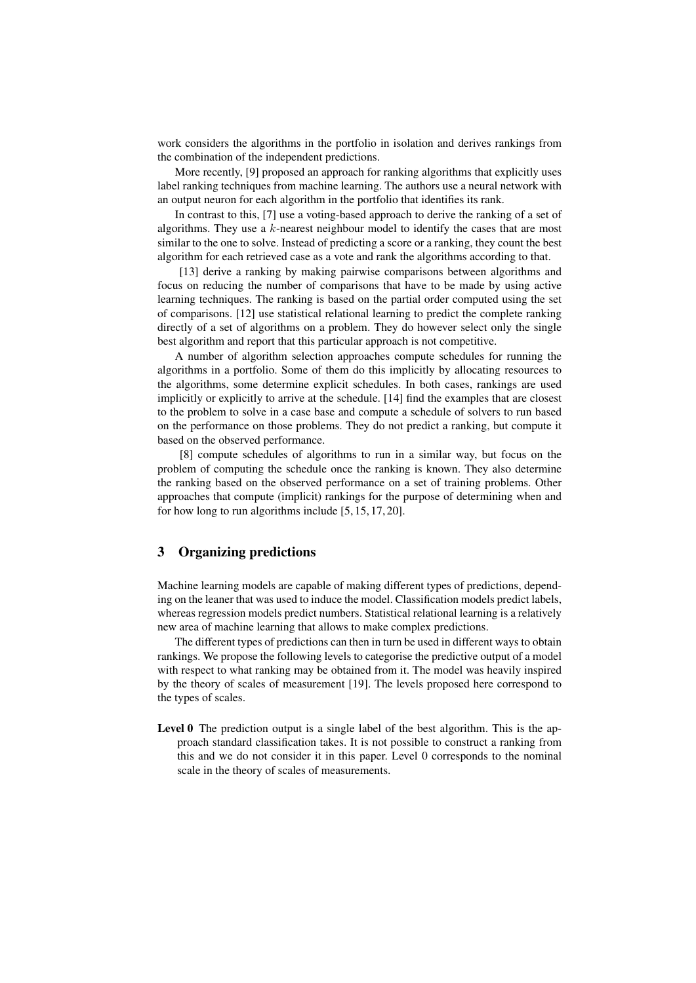work considers the algorithms in the portfolio in isolation and derives rankings from the combination of the independent predictions.

More recently, [9] proposed an approach for ranking algorithms that explicitly uses label ranking techniques from machine learning. The authors use a neural network with an output neuron for each algorithm in the portfolio that identifies its rank.

In contrast to this, [7] use a voting-based approach to derive the ranking of a set of algorithms. They use a *k*-nearest neighbour model to identify the cases that are most similar to the one to solve. Instead of predicting a score or a ranking, they count the best algorithm for each retrieved case as a vote and rank the algorithms according to that.

[13] derive a ranking by making pairwise comparisons between algorithms and focus on reducing the number of comparisons that have to be made by using active learning techniques. The ranking is based on the partial order computed using the set of comparisons. [12] use statistical relational learning to predict the complete ranking directly of a set of algorithms on a problem. They do however select only the single best algorithm and report that this particular approach is not competitive.

A number of algorithm selection approaches compute schedules for running the algorithms in a portfolio. Some of them do this implicitly by allocating resources to the algorithms, some determine explicit schedules. In both cases, rankings are used implicitly or explicitly to arrive at the schedule. [14] find the examples that are closest to the problem to solve in a case base and compute a schedule of solvers to run based on the performance on those problems. They do not predict a ranking, but compute it based on the observed performance.

[8] compute schedules of algorithms to run in a similar way, but focus on the problem of computing the schedule once the ranking is known. They also determine the ranking based on the observed performance on a set of training problems. Other approaches that compute (implicit) rankings for the purpose of determining when and for how long to run algorithms include [5, 15, 17, 20].

# 3 Organizing predictions

Machine learning models are capable of making different types of predictions, depending on the leaner that was used to induce the model. Classification models predict labels, whereas regression models predict numbers. Statistical relational learning is a relatively new area of machine learning that allows to make complex predictions.

The different types of predictions can then in turn be used in different ways to obtain rankings. We propose the following levels to categorise the predictive output of a model with respect to what ranking may be obtained from it. The model was heavily inspired by the theory of scales of measurement [19]. The levels proposed here correspond to the types of scales.

Level 0 The prediction output is a single label of the best algorithm. This is the approach standard classification takes. It is not possible to construct a ranking from this and we do not consider it in this paper. Level 0 corresponds to the nominal scale in the theory of scales of measurements.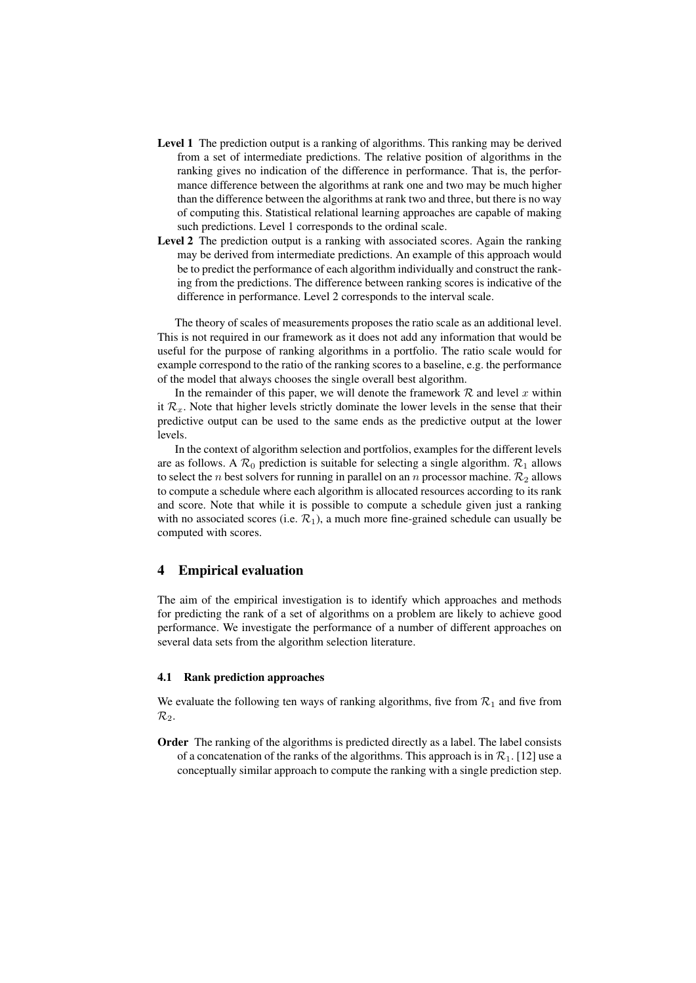- Level 1 The prediction output is a ranking of algorithms. This ranking may be derived from a set of intermediate predictions. The relative position of algorithms in the ranking gives no indication of the difference in performance. That is, the performance difference between the algorithms at rank one and two may be much higher than the difference between the algorithms at rank two and three, but there is no way of computing this. Statistical relational learning approaches are capable of making such predictions. Level 1 corresponds to the ordinal scale.
- Level 2 The prediction output is a ranking with associated scores. Again the ranking may be derived from intermediate predictions. An example of this approach would be to predict the performance of each algorithm individually and construct the ranking from the predictions. The difference between ranking scores is indicative of the difference in performance. Level 2 corresponds to the interval scale.

The theory of scales of measurements proposes the ratio scale as an additional level. This is not required in our framework as it does not add any information that would be useful for the purpose of ranking algorithms in a portfolio. The ratio scale would for example correspond to the ratio of the ranking scores to a baseline, e.g. the performance of the model that always chooses the single overall best algorithm.

In the remainder of this paper, we will denote the framework  $R$  and level  $x$  within it  $\mathcal{R}_x$ . Note that higher levels strictly dominate the lower levels in the sense that their predictive output can be used to the same ends as the predictive output at the lower levels.

In the context of algorithm selection and portfolios, examples for the different levels are as follows. A  $\mathcal{R}_0$  prediction is suitable for selecting a single algorithm.  $\mathcal{R}_1$  allows to select the *n* best solvers for running in parallel on an *n* processor machine.  $\mathcal{R}_2$  allows to compute a schedule where each algorithm is allocated resources according to its rank and score. Note that while it is possible to compute a schedule given just a ranking with no associated scores (i.e.  $\mathcal{R}_1$ ), a much more fine-grained schedule can usually be computed with scores.

# 4 Empirical evaluation

The aim of the empirical investigation is to identify which approaches and methods for predicting the rank of a set of algorithms on a problem are likely to achieve good performance. We investigate the performance of a number of different approaches on several data sets from the algorithm selection literature.

### 4.1 Rank prediction approaches

We evaluate the following ten ways of ranking algorithms, five from  $\mathcal{R}_1$  and five from  $\mathcal{R}_2$ .

Order The ranking of the algorithms is predicted directly as a label. The label consists of a concatenation of the ranks of the algorithms. This approach is in  $\mathcal{R}_1$ . [12] use a conceptually similar approach to compute the ranking with a single prediction step.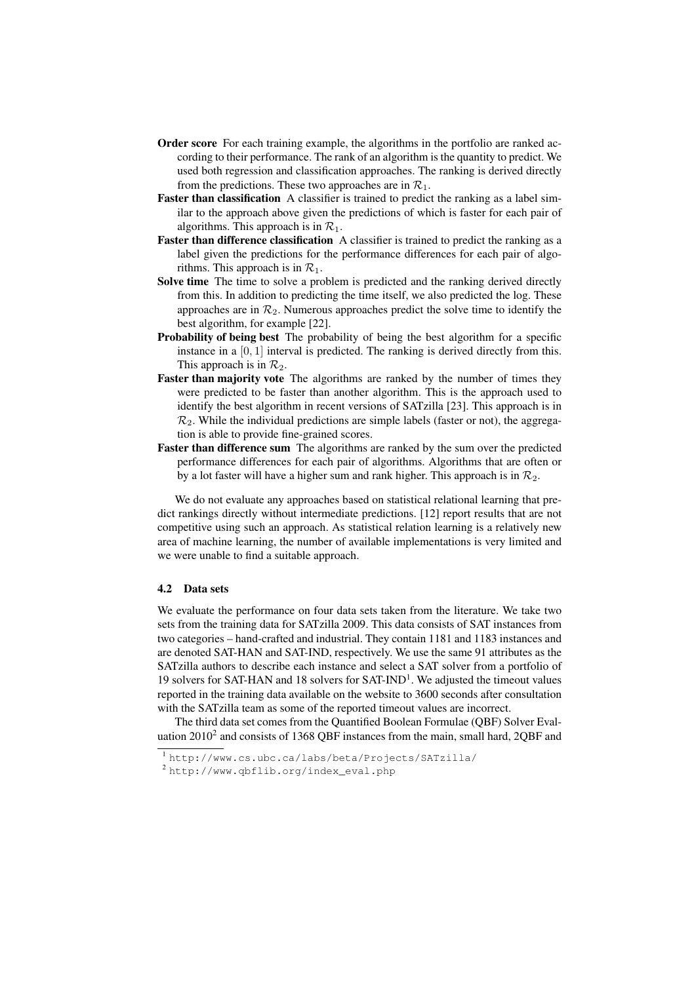- Order score For each training example, the algorithms in the portfolio are ranked according to their performance. The rank of an algorithm is the quantity to predict. We used both regression and classification approaches. The ranking is derived directly from the predictions. These two approaches are in  $\mathcal{R}_1$ .
- Faster than classification A classifier is trained to predict the ranking as a label similar to the approach above given the predictions of which is faster for each pair of algorithms. This approach is in  $\mathcal{R}_1$ .
- Faster than difference classification A classifier is trained to predict the ranking as a label given the predictions for the performance differences for each pair of algorithms. This approach is in  $\mathcal{R}_1$ .
- Solve time The time to solve a problem is predicted and the ranking derived directly from this. In addition to predicting the time itself, we also predicted the log. These approaches are in  $\mathcal{R}_2$ . Numerous approaches predict the solve time to identify the best algorithm, for example [22].
- Probability of being best The probability of being the best algorithm for a specific instance in a [0*,* 1] interval is predicted. The ranking is derived directly from this. This approach is in  $\mathcal{R}_2$ .
- Faster than majority vote The algorithms are ranked by the number of times they were predicted to be faster than another algorithm. This is the approach used to identify the best algorithm in recent versions of SATzilla [23]. This approach is in  $\mathcal{R}_2$ . While the individual predictions are simple labels (faster or not), the aggregation is able to provide fine-grained scores.
- Faster than difference sum The algorithms are ranked by the sum over the predicted performance differences for each pair of algorithms. Algorithms that are often or by a lot faster will have a higher sum and rank higher. This approach is in  $\mathcal{R}_2$ .

We do not evaluate any approaches based on statistical relational learning that predict rankings directly without intermediate predictions. [12] report results that are not competitive using such an approach. As statistical relation learning is a relatively new area of machine learning, the number of available implementations is very limited and we were unable to find a suitable approach.

#### 4.2 Data sets

We evaluate the performance on four data sets taken from the literature. We take two sets from the training data for SATzilla 2009. This data consists of SAT instances from two categories – hand-crafted and industrial. They contain 1181 and 1183 instances and are denoted SAT-HAN and SAT-IND, respectively. We use the same 91 attributes as the SATzilla authors to describe each instance and select a SAT solver from a portfolio of 19 solvers for SAT-HAN and 18 solvers for SAT-IND<sup>1</sup>. We adjusted the timeout values reported in the training data available on the website to 3600 seconds after consultation with the SATzilla team as some of the reported timeout values are incorrect.

The third data set comes from the Quantified Boolean Formulae (QBF) Solver Evaluation  $2010^2$  and consists of 1368 QBF instances from the main, small hard,  $2QBF$  and

<sup>1</sup> http://www.cs.ubc.ca/labs/beta/Projects/SATzilla/

<sup>2</sup> http://www.qbflib.org/index\_eval.php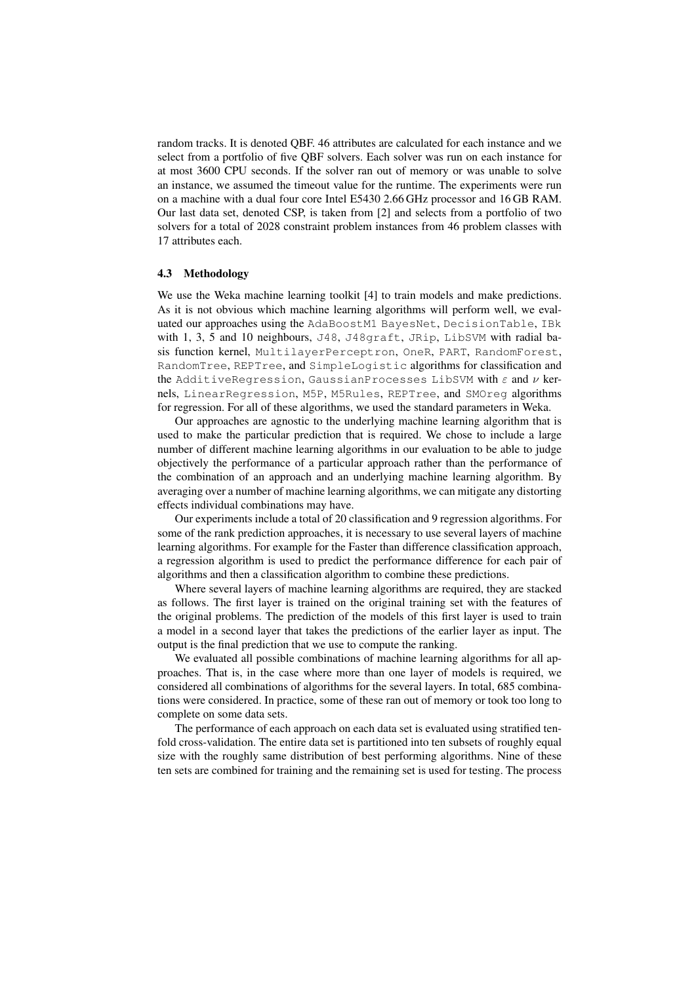random tracks. It is denoted QBF. 46 attributes are calculated for each instance and we select from a portfolio of five QBF solvers. Each solver was run on each instance for at most 3600 CPU seconds. If the solver ran out of memory or was unable to solve an instance, we assumed the timeout value for the runtime. The experiments were run on a machine with a dual four core Intel E5430 2.66 GHz processor and 16 GB RAM. Our last data set, denoted CSP, is taken from [2] and selects from a portfolio of two solvers for a total of 2028 constraint problem instances from 46 problem classes with 17 attributes each.

### 4.3 Methodology

We use the Weka machine learning toolkit [4] to train models and make predictions. As it is not obvious which machine learning algorithms will perform well, we evaluated our approaches using the AdaBoostM1 BayesNet, DecisionTable, IBk with 1, 3, 5 and 10 neighbours, J48, J48graft, JRip, LibSVM with radial basis function kernel, MultilayerPerceptron, OneR, PART, RandomForest, RandomTree, REPTree, and SimpleLogistic algorithms for classification and the AdditiveRegression, GaussianProcesses LibSVM with *ε* and *ν* kernels, LinearRegression, M5P, M5Rules, REPTree, and SMOreg algorithms for regression. For all of these algorithms, we used the standard parameters in Weka.

Our approaches are agnostic to the underlying machine learning algorithm that is used to make the particular prediction that is required. We chose to include a large number of different machine learning algorithms in our evaluation to be able to judge objectively the performance of a particular approach rather than the performance of the combination of an approach and an underlying machine learning algorithm. By averaging over a number of machine learning algorithms, we can mitigate any distorting effects individual combinations may have.

Our experiments include a total of 20 classification and 9 regression algorithms. For some of the rank prediction approaches, it is necessary to use several layers of machine learning algorithms. For example for the Faster than difference classification approach, a regression algorithm is used to predict the performance difference for each pair of algorithms and then a classification algorithm to combine these predictions.

Where several layers of machine learning algorithms are required, they are stacked as follows. The first layer is trained on the original training set with the features of the original problems. The prediction of the models of this first layer is used to train a model in a second layer that takes the predictions of the earlier layer as input. The output is the final prediction that we use to compute the ranking.

We evaluated all possible combinations of machine learning algorithms for all approaches. That is, in the case where more than one layer of models is required, we considered all combinations of algorithms for the several layers. In total, 685 combinations were considered. In practice, some of these ran out of memory or took too long to complete on some data sets.

The performance of each approach on each data set is evaluated using stratified tenfold cross-validation. The entire data set is partitioned into ten subsets of roughly equal size with the roughly same distribution of best performing algorithms. Nine of these ten sets are combined for training and the remaining set is used for testing. The process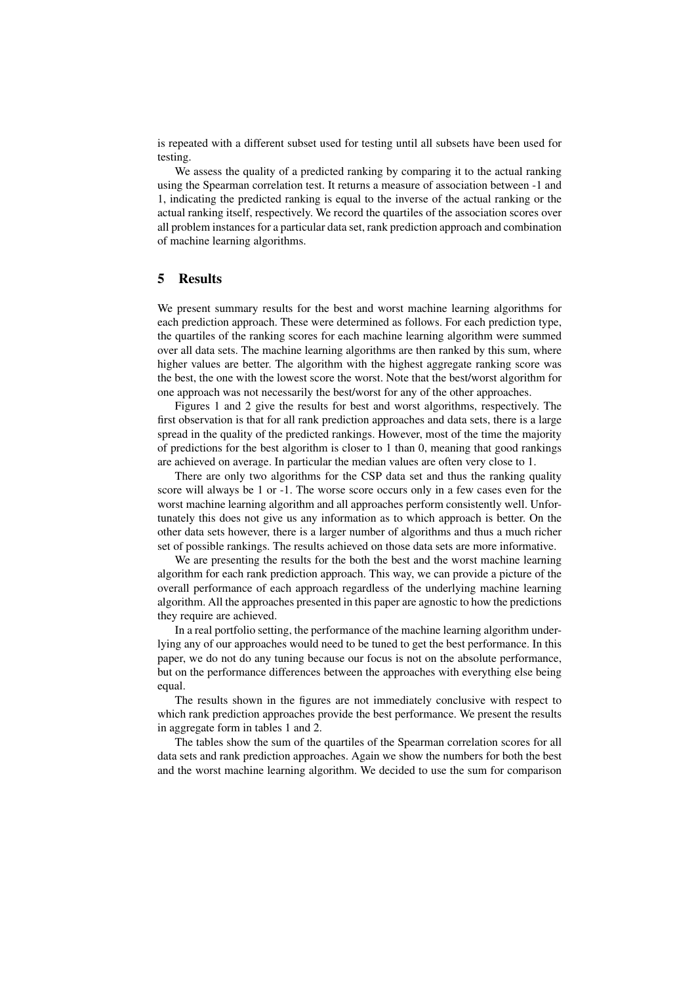is repeated with a different subset used for testing until all subsets have been used for testing.

We assess the quality of a predicted ranking by comparing it to the actual ranking using the Spearman correlation test. It returns a measure of association between -1 and 1, indicating the predicted ranking is equal to the inverse of the actual ranking or the actual ranking itself, respectively. We record the quartiles of the association scores over all problem instances for a particular data set, rank prediction approach and combination of machine learning algorithms.

## 5 Results

We present summary results for the best and worst machine learning algorithms for each prediction approach. These were determined as follows. For each prediction type, the quartiles of the ranking scores for each machine learning algorithm were summed over all data sets. The machine learning algorithms are then ranked by this sum, where higher values are better. The algorithm with the highest aggregate ranking score was the best, the one with the lowest score the worst. Note that the best/worst algorithm for one approach was not necessarily the best/worst for any of the other approaches.

Figures 1 and 2 give the results for best and worst algorithms, respectively. The first observation is that for all rank prediction approaches and data sets, there is a large spread in the quality of the predicted rankings. However, most of the time the majority of predictions for the best algorithm is closer to 1 than 0, meaning that good rankings are achieved on average. In particular the median values are often very close to 1.

There are only two algorithms for the CSP data set and thus the ranking quality score will always be 1 or -1. The worse score occurs only in a few cases even for the worst machine learning algorithm and all approaches perform consistently well. Unfortunately this does not give us any information as to which approach is better. On the other data sets however, there is a larger number of algorithms and thus a much richer set of possible rankings. The results achieved on those data sets are more informative.

We are presenting the results for the both the best and the worst machine learning algorithm for each rank prediction approach. This way, we can provide a picture of the overall performance of each approach regardless of the underlying machine learning algorithm. All the approaches presented in this paper are agnostic to how the predictions they require are achieved.

In a real portfolio setting, the performance of the machine learning algorithm underlying any of our approaches would need to be tuned to get the best performance. In this paper, we do not do any tuning because our focus is not on the absolute performance, but on the performance differences between the approaches with everything else being equal.

The results shown in the figures are not immediately conclusive with respect to which rank prediction approaches provide the best performance. We present the results in aggregate form in tables 1 and 2.

The tables show the sum of the quartiles of the Spearman correlation scores for all data sets and rank prediction approaches. Again we show the numbers for both the best and the worst machine learning algorithm. We decided to use the sum for comparison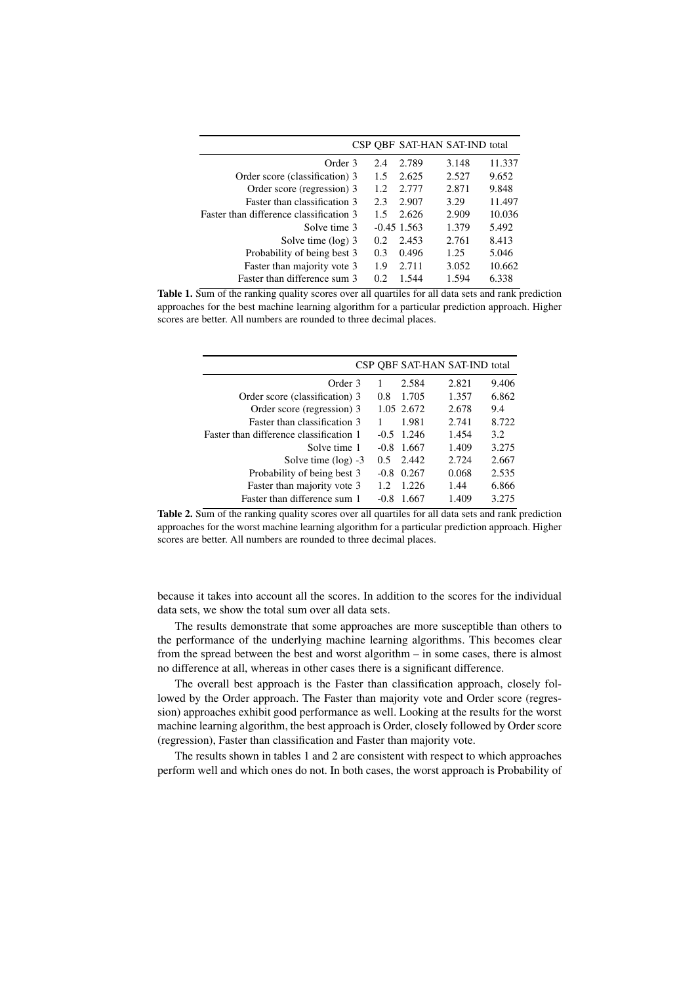|                                         |      | CSP OBF SAT-HAN SAT-IND total |       |        |
|-----------------------------------------|------|-------------------------------|-------|--------|
| Order 3                                 | 2.4  | 2.789                         | 3.148 | 11.337 |
| Order score (classification) 3          | 1.5  | 2.625                         | 2.527 | 9.652  |
| Order score (regression) 3              | 1.2. | 2.777                         | 2.871 | 9.848  |
| <b>Easter than classification 3</b>     | 2.3  | 2.907                         | 3.29  | 11.497 |
| Faster than difference classification 3 | 1.5  | 2.626                         | 2.909 | 10.036 |
| Solve time 3                            |      | $-0.45$ 1.563                 | 1.379 | 5.492  |
| Solve time (log) 3                      | 0.2  | 2.453                         | 2.761 | 8.413  |
| Probability of being best 3             | 0.3  | 0.496                         | 1.25  | 5.046  |
| Faster than majority vote 3             | 1.9  | 2.711                         | 3.052 | 10.662 |
| Faster than difference sum 3            | 0.2  | 1.544                         | 1.594 | 6.338  |

Table 1. Sum of the ranking quality scores over all quartiles for all data sets and rank prediction approaches for the best machine learning algorithm for a particular prediction approach. Higher scores are better. All numbers are rounded to three decimal places.

|                                         |        | CSP OBF SAT-HAN SAT-IND total |       |       |
|-----------------------------------------|--------|-------------------------------|-------|-------|
| Order 3                                 |        | 2.584                         | 2.821 | 9.406 |
| Order score (classification) 3          | 0.8    | 1.705                         | 1.357 | 6.862 |
| Order score (regression) 3              |        | 1.05 2.672                    | 2.678 | 9.4   |
| <b>Faster than classification 3</b>     |        | 1.981                         | 2.741 | 8.722 |
| Faster than difference classification 1 |        | $-0.5$ 1.246                  | 1.454 | 3.2   |
| Solve time 1                            | $-0.8$ | 1.667                         | 1.409 | 3.275 |
| Solve time $(\log) -3$                  | 0.5    | 2.442                         | 2.724 | 2.667 |
| Probability of being best 3             | $-0.8$ | 0.267                         | 0.068 | 2.535 |
| Faster than majority vote 3             | 12     | 1.226                         | 1.44  | 6.866 |
| Faster than difference sum 1            | $-0.8$ | 1.667                         | 1.409 | 3.275 |

Table 2. Sum of the ranking quality scores over all quartiles for all data sets and rank prediction approaches for the worst machine learning algorithm for a particular prediction approach. Higher scores are better. All numbers are rounded to three decimal places.

because it takes into account all the scores. In addition to the scores for the individual data sets, we show the total sum over all data sets.

The results demonstrate that some approaches are more susceptible than others to the performance of the underlying machine learning algorithms. This becomes clear from the spread between the best and worst algorithm – in some cases, there is almost no difference at all, whereas in other cases there is a significant difference.

The overall best approach is the Faster than classification approach, closely followed by the Order approach. The Faster than majority vote and Order score (regression) approaches exhibit good performance as well. Looking at the results for the worst machine learning algorithm, the best approach is Order, closely followed by Order score (regression), Faster than classification and Faster than majority vote.

The results shown in tables 1 and 2 are consistent with respect to which approaches perform well and which ones do not. In both cases, the worst approach is Probability of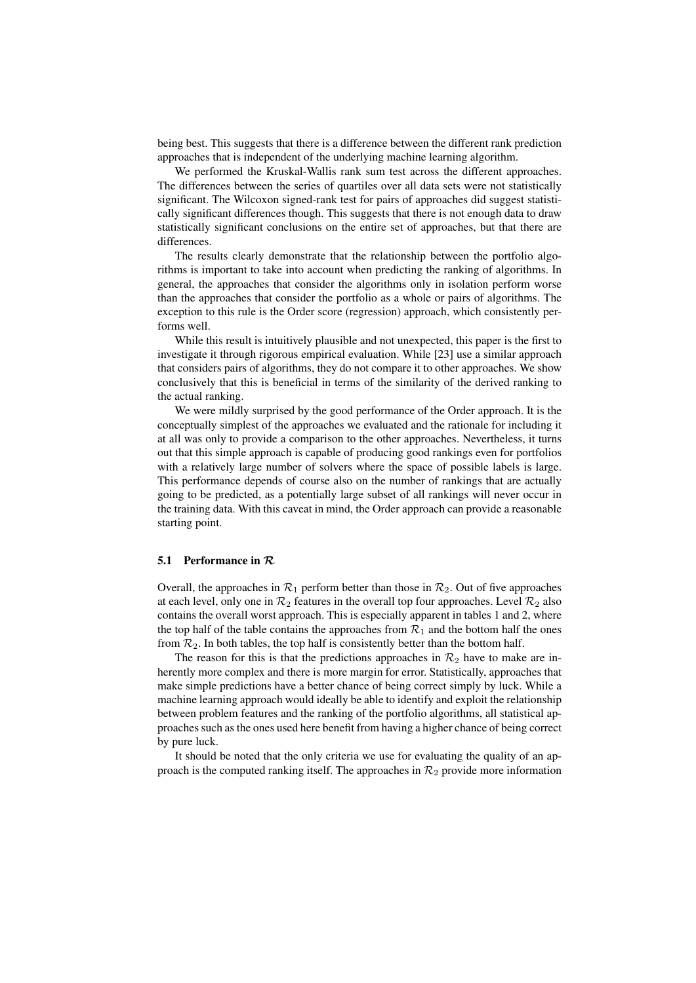being best. This suggests that there is a difference between the different rank prediction approaches that is independent of the underlying machine learning algorithm.

We performed the Kruskal-Wallis rank sum test across the different approaches. The differences between the series of quartiles over all data sets were not statistically significant. The Wilcoxon signed-rank test for pairs of approaches did suggest statistically significant differences though. This suggests that there is not enough data to draw statistically significant conclusions on the entire set of approaches, but that there are differences.

The results clearly demonstrate that the relationship between the portfolio algorithms is important to take into account when predicting the ranking of algorithms. In general, the approaches that consider the algorithms only in isolation perform worse than the approaches that consider the portfolio as a whole or pairs of algorithms. The exception to this rule is the Order score (regression) approach, which consistently performs well.

While this result is intuitively plausible and not unexpected, this paper is the first to investigate it through rigorous empirical evaluation. While [23] use a similar approach that considers pairs of algorithms, they do not compare it to other approaches. We show conclusively that this is beneficial in terms of the similarity of the derived ranking to the actual ranking.

We were mildly surprised by the good performance of the Order approach. It is the conceptually simplest of the approaches we evaluated and the rationale for including it at all was only to provide a comparison to the other approaches. Nevertheless, it turns out that this simple approach is capable of producing good rankings even for portfolios with a relatively large number of solvers where the space of possible labels is large. This performance depends of course also on the number of rankings that are actually going to be predicted, as a potentially large subset of all rankings will never occur in the training data. With this caveat in mind, the Order approach can provide a reasonable starting point.

#### 5.1 Performance in *R*

Overall, the approaches in  $\mathcal{R}_1$  perform better than those in  $\mathcal{R}_2$ . Out of five approaches at each level, only one in  $\mathcal{R}_2$  features in the overall top four approaches. Level  $\mathcal{R}_2$  also contains the overall worst approach. This is especially apparent in tables 1 and 2, where the top half of the table contains the approaches from  $\mathcal{R}_1$  and the bottom half the ones from  $\mathcal{R}_2$ . In both tables, the top half is consistently better than the bottom half.

The reason for this is that the predictions approaches in  $\mathcal{R}_2$  have to make are inherently more complex and there is more margin for error. Statistically, approaches that make simple predictions have a better chance of being correct simply by luck. While a machine learning approach would ideally be able to identify and exploit the relationship between problem features and the ranking of the portfolio algorithms, all statistical approaches such as the ones used here benefit from having a higher chance of being correct by pure luck.

It should be noted that the only criteria we use for evaluating the quality of an approach is the computed ranking itself. The approaches in  $\mathcal{R}_2$  provide more information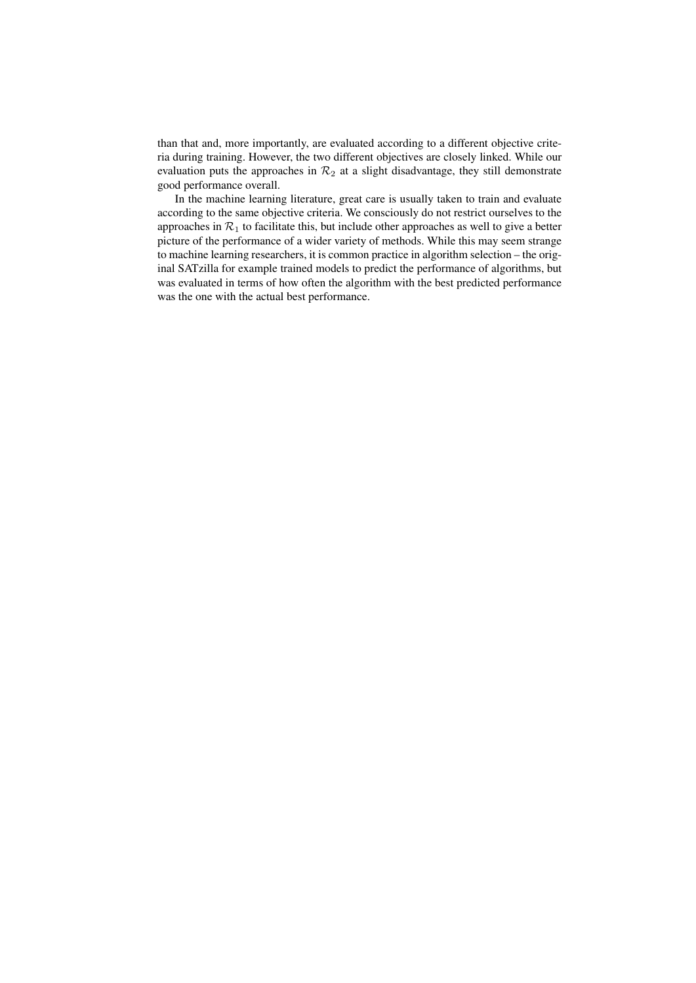than that and, more importantly, are evaluated according to a different objective criteria during training. However, the two different objectives are closely linked. While our evaluation puts the approaches in  $\mathcal{R}_2$  at a slight disadvantage, they still demonstrate good performance overall.

In the machine learning literature, great care is usually taken to train and evaluate according to the same objective criteria. We consciously do not restrict ourselves to the approaches in  $\mathcal{R}_1$  to facilitate this, but include other approaches as well to give a better picture of the performance of a wider variety of methods. While this may seem strange to machine learning researchers, it is common practice in algorithm selection – the original SATzilla for example trained models to predict the performance of algorithms, but was evaluated in terms of how often the algorithm with the best predicted performance was the one with the actual best performance.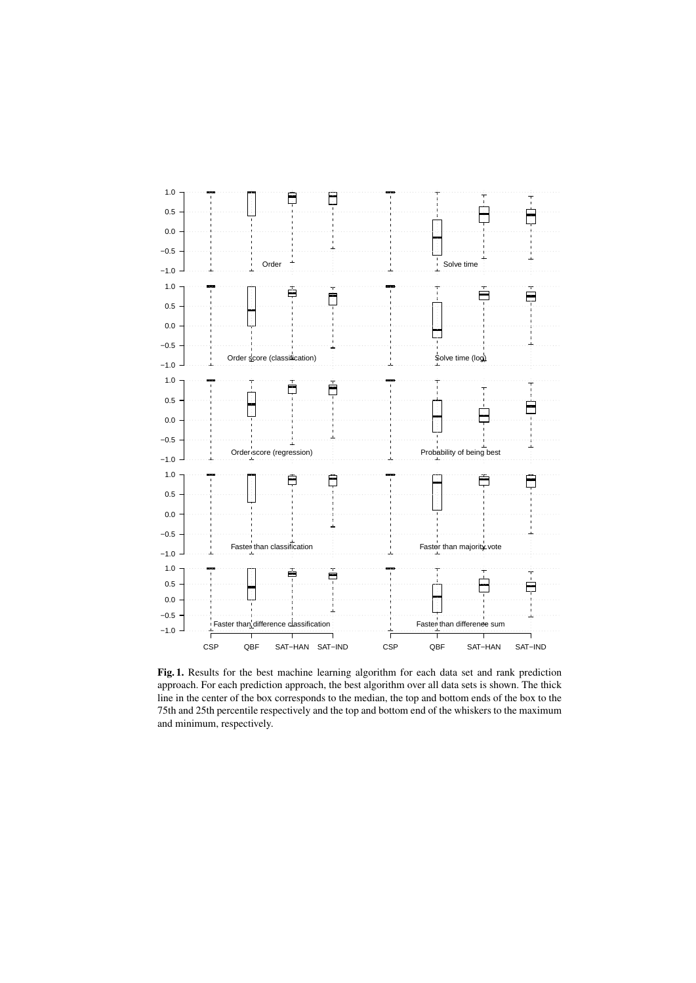

Fig. 1. Results for the best machine learning algorithm for each data set and rank prediction approach. For each prediction approach, the best algorithm over all data sets is shown. The thick line in the center of the box corresponds to the median, the top and bottom ends of the box to the 75th and 25th percentile respectively and the top and bottom end of the whiskers to the maximum and minimum, respectively.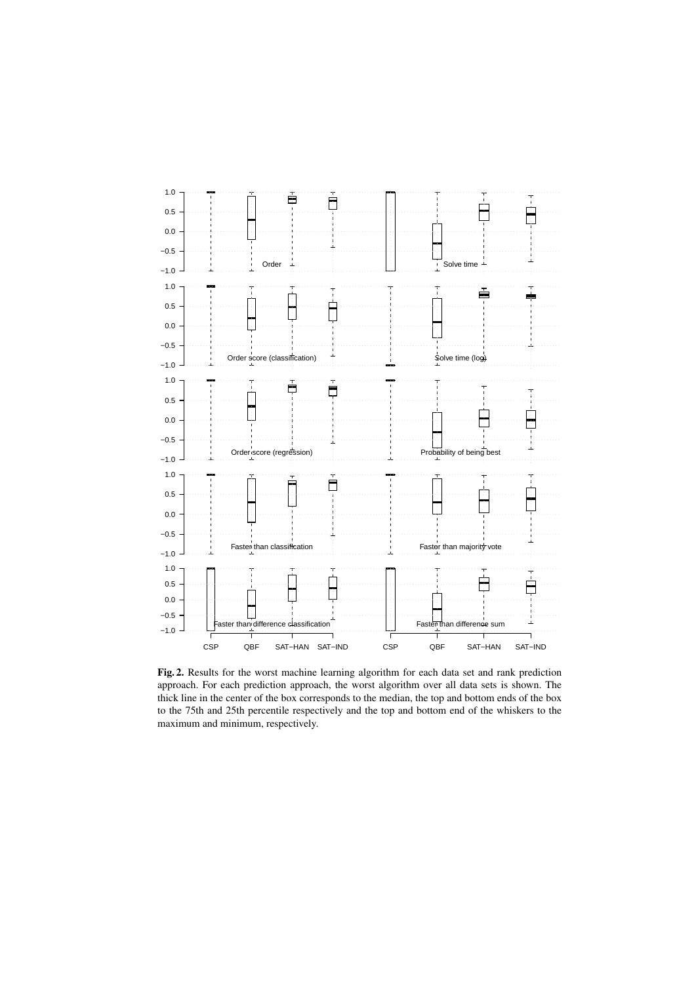

Fig. 2. Results for the worst machine learning algorithm for each data set and rank prediction approach. For each prediction approach, the worst algorithm over all data sets is shown. The thick line in the center of the box corresponds to the median, the top and bottom ends of the box to the 75th and 25th percentile respectively and the top and bottom end of the whiskers to the maximum and minimum, respectively.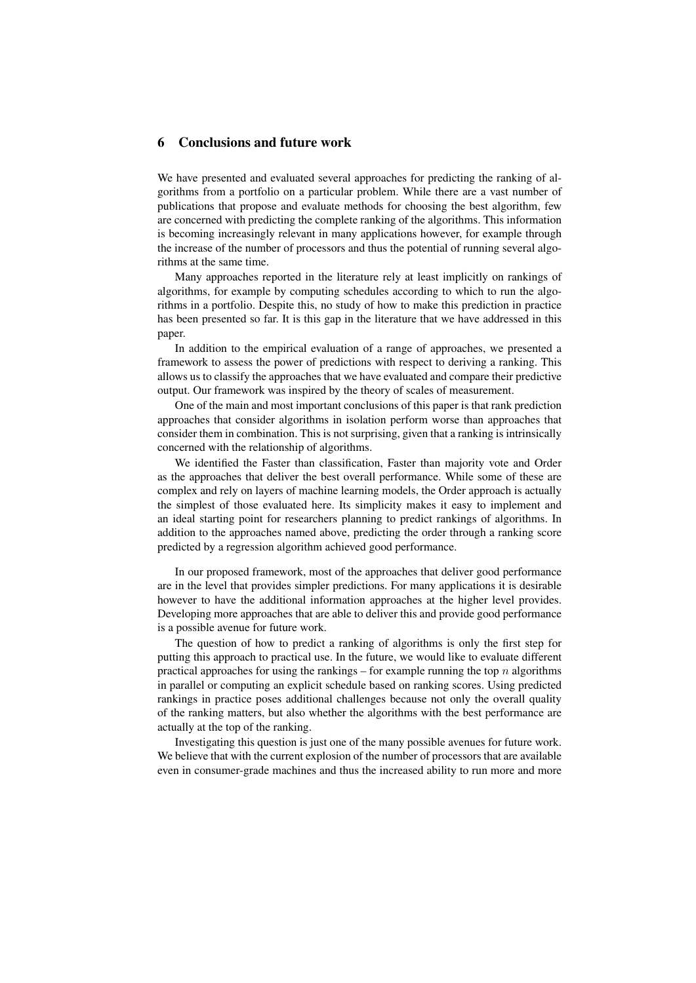# 6 Conclusions and future work

We have presented and evaluated several approaches for predicting the ranking of algorithms from a portfolio on a particular problem. While there are a vast number of publications that propose and evaluate methods for choosing the best algorithm, few are concerned with predicting the complete ranking of the algorithms. This information is becoming increasingly relevant in many applications however, for example through the increase of the number of processors and thus the potential of running several algorithms at the same time.

Many approaches reported in the literature rely at least implicitly on rankings of algorithms, for example by computing schedules according to which to run the algorithms in a portfolio. Despite this, no study of how to make this prediction in practice has been presented so far. It is this gap in the literature that we have addressed in this paper.

In addition to the empirical evaluation of a range of approaches, we presented a framework to assess the power of predictions with respect to deriving a ranking. This allows us to classify the approaches that we have evaluated and compare their predictive output. Our framework was inspired by the theory of scales of measurement.

One of the main and most important conclusions of this paper is that rank prediction approaches that consider algorithms in isolation perform worse than approaches that consider them in combination. This is not surprising, given that a ranking is intrinsically concerned with the relationship of algorithms.

We identified the Faster than classification, Faster than majority vote and Order as the approaches that deliver the best overall performance. While some of these are complex and rely on layers of machine learning models, the Order approach is actually the simplest of those evaluated here. Its simplicity makes it easy to implement and an ideal starting point for researchers planning to predict rankings of algorithms. In addition to the approaches named above, predicting the order through a ranking score predicted by a regression algorithm achieved good performance.

In our proposed framework, most of the approaches that deliver good performance are in the level that provides simpler predictions. For many applications it is desirable however to have the additional information approaches at the higher level provides. Developing more approaches that are able to deliver this and provide good performance is a possible avenue for future work.

The question of how to predict a ranking of algorithms is only the first step for putting this approach to practical use. In the future, we would like to evaluate different practical approaches for using the rankings – for example running the top *n* algorithms in parallel or computing an explicit schedule based on ranking scores. Using predicted rankings in practice poses additional challenges because not only the overall quality of the ranking matters, but also whether the algorithms with the best performance are actually at the top of the ranking.

Investigating this question is just one of the many possible avenues for future work. We believe that with the current explosion of the number of processors that are available even in consumer-grade machines and thus the increased ability to run more and more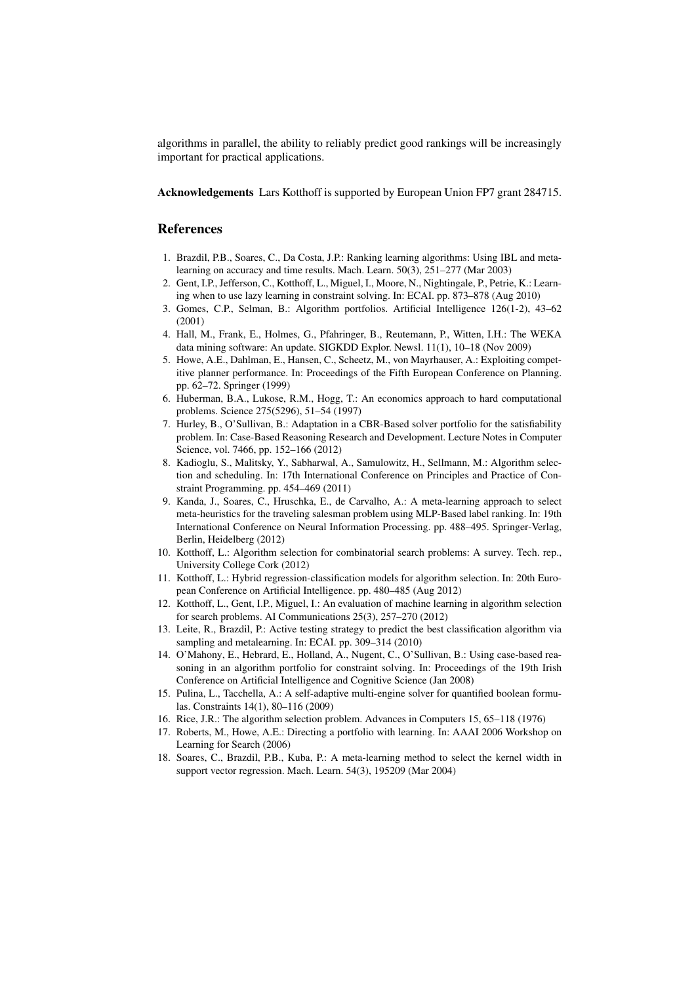algorithms in parallel, the ability to reliably predict good rankings will be increasingly important for practical applications.

Acknowledgements Lars Kotthoff is supported by European Union FP7 grant 284715.

### References

- 1. Brazdil, P.B., Soares, C., Da Costa, J.P.: Ranking learning algorithms: Using IBL and metalearning on accuracy and time results. Mach. Learn. 50(3), 251–277 (Mar 2003)
- 2. Gent, I.P., Jefferson, C., Kotthoff, L., Miguel, I., Moore, N., Nightingale, P., Petrie, K.: Learning when to use lazy learning in constraint solving. In: ECAI. pp. 873–878 (Aug 2010)
- 3. Gomes, C.P., Selman, B.: Algorithm portfolios. Artificial Intelligence 126(1-2), 43–62 (2001)
- 4. Hall, M., Frank, E., Holmes, G., Pfahringer, B., Reutemann, P., Witten, I.H.: The WEKA data mining software: An update. SIGKDD Explor. Newsl. 11(1), 10–18 (Nov 2009)
- 5. Howe, A.E., Dahlman, E., Hansen, C., Scheetz, M., von Mayrhauser, A.: Exploiting competitive planner performance. In: Proceedings of the Fifth European Conference on Planning. pp. 62–72. Springer (1999)
- 6. Huberman, B.A., Lukose, R.M., Hogg, T.: An economics approach to hard computational problems. Science 275(5296), 51–54 (1997)
- 7. Hurley, B., O'Sullivan, B.: Adaptation in a CBR-Based solver portfolio for the satisfiability problem. In: Case-Based Reasoning Research and Development. Lecture Notes in Computer Science, vol. 7466, pp. 152–166 (2012)
- 8. Kadioglu, S., Malitsky, Y., Sabharwal, A., Samulowitz, H., Sellmann, M.: Algorithm selection and scheduling. In: 17th International Conference on Principles and Practice of Constraint Programming. pp. 454–469 (2011)
- 9. Kanda, J., Soares, C., Hruschka, E., de Carvalho, A.: A meta-learning approach to select meta-heuristics for the traveling salesman problem using MLP-Based label ranking. In: 19th International Conference on Neural Information Processing. pp. 488–495. Springer-Verlag, Berlin, Heidelberg (2012)
- 10. Kotthoff, L.: Algorithm selection for combinatorial search problems: A survey. Tech. rep., University College Cork (2012)
- 11. Kotthoff, L.: Hybrid regression-classification models for algorithm selection. In: 20th European Conference on Artificial Intelligence. pp. 480–485 (Aug 2012)
- 12. Kotthoff, L., Gent, I.P., Miguel, I.: An evaluation of machine learning in algorithm selection for search problems. AI Communications 25(3), 257–270 (2012)
- 13. Leite, R., Brazdil, P.: Active testing strategy to predict the best classification algorithm via sampling and metalearning. In: ECAI. pp. 309–314 (2010)
- 14. O'Mahony, E., Hebrard, E., Holland, A., Nugent, C., O'Sullivan, B.: Using case-based reasoning in an algorithm portfolio for constraint solving. In: Proceedings of the 19th Irish Conference on Artificial Intelligence and Cognitive Science (Jan 2008)
- 15. Pulina, L., Tacchella, A.: A self-adaptive multi-engine solver for quantified boolean formulas. Constraints 14(1), 80–116 (2009)
- 16. Rice, J.R.: The algorithm selection problem. Advances in Computers 15, 65–118 (1976)
- 17. Roberts, M., Howe, A.E.: Directing a portfolio with learning. In: AAAI 2006 Workshop on Learning for Search (2006)
- 18. Soares, C., Brazdil, P.B., Kuba, P.: A meta-learning method to select the kernel width in support vector regression. Mach. Learn. 54(3), 195209 (Mar 2004)